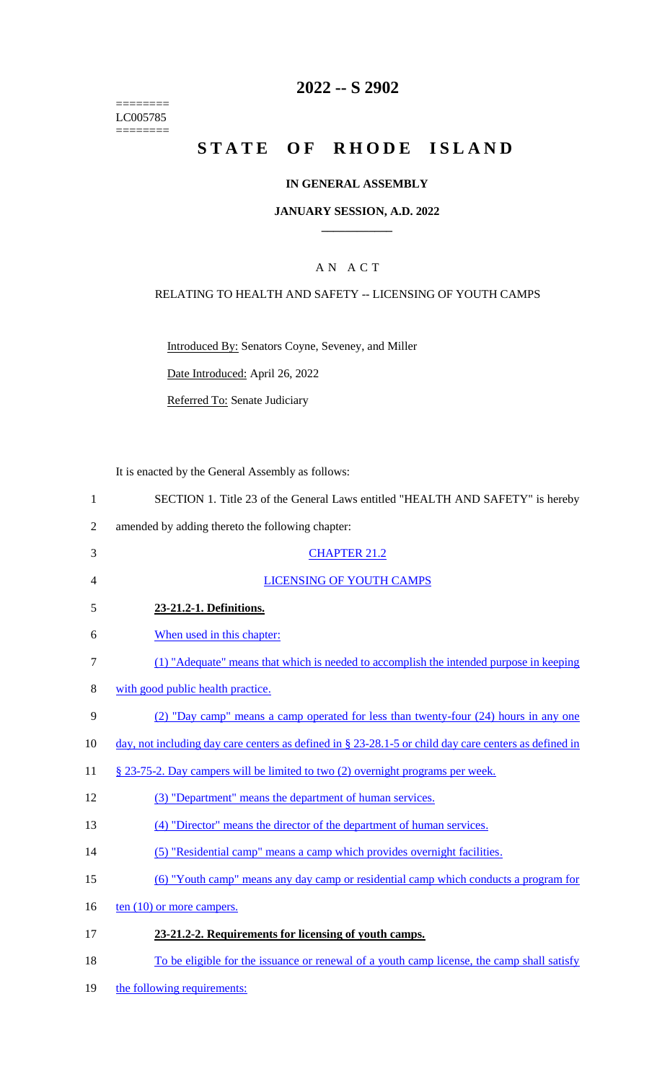======== LC005785 ========

## **2022 -- S 2902**

# **STATE OF RHODE ISLAND**

#### **IN GENERAL ASSEMBLY**

#### **JANUARY SESSION, A.D. 2022 \_\_\_\_\_\_\_\_\_\_\_\_**

### A N A C T

#### RELATING TO HEALTH AND SAFETY -- LICENSING OF YOUTH CAMPS

Introduced By: Senators Coyne, Seveney, and Miller

Date Introduced: April 26, 2022

Referred To: Senate Judiciary

It is enacted by the General Assembly as follows:

| SECTION 1. Title 23 of the General Laws entitled "HEALTH AND SAFETY" is hereby |
|--------------------------------------------------------------------------------|
|--------------------------------------------------------------------------------|

- 2 amended by adding thereto the following chapter:
- 3 CHAPTER 21.2 4 LICENSING OF YOUTH CAMPS 5 **23-21.2-1. Definitions.**  6 When used in this chapter: 7 (1) "Adequate" means that which is needed to accomplish the intended purpose in keeping 8 with good public health practice.
- 9 (2) "Day camp" means a camp operated for less than twenty-four (24) hours in any one
- 10 day, not including day care centers as defined in § 23-28.1-5 or child day care centers as defined in
- 11 § 23-75-2. Day campers will be limited to two (2) overnight programs per week.
- 12 (3) "Department" means the department of human services.
- 13 (4) "Director" means the director of the department of human services.
- 14 (5) "Residential camp" means a camp which provides overnight facilities.
- 15 (6) "Youth camp" means any day camp or residential camp which conducts a program for
- 16  $\text{ten } (10)$  or more campers.
- 17 **23-21.2-2. Requirements for licensing of youth camps.**
- 18 To be eligible for the issuance or renewal of a youth camp license, the camp shall satisfy
- 19 the following requirements: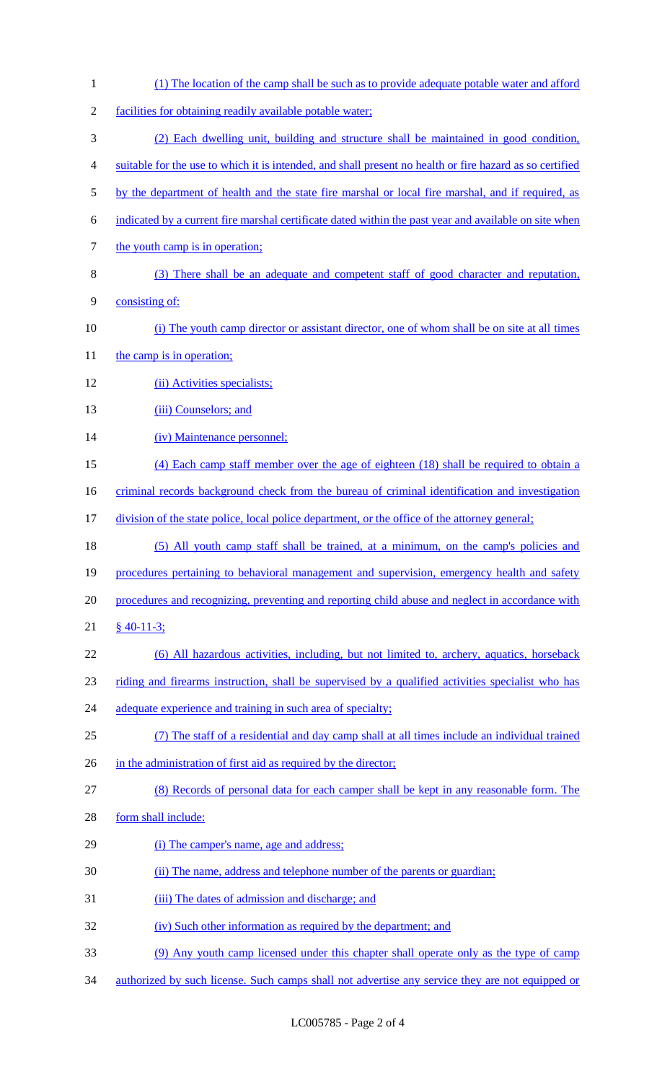(1) The location of the camp shall be such as to provide adequate potable water and afford facilities for obtaining readily available potable water; (2) Each dwelling unit, building and structure shall be maintained in good condition, suitable for the use to which it is intended, and shall present no health or fire hazard as so certified 5 by the department of health and the state fire marshal or local fire marshal, and if required, as indicated by a current fire marshal certificate dated within the past year and available on site when 7 the youth camp is in operation; (3) There shall be an adequate and competent staff of good character and reputation, consisting of: (i) The youth camp director or assistant director, one of whom shall be on site at all times 11 the camp is in operation; (ii) Activities specialists; 13 (iii) Counselors; and 14 (iv) Maintenance personnel; (4) Each camp staff member over the age of eighteen (18) shall be required to obtain a 16 criminal records background check from the bureau of criminal identification and investigation division of the state police, local police department, or the office of the attorney general; (5) All youth camp staff shall be trained, at a minimum, on the camp's policies and 19 procedures pertaining to behavioral management and supervision, emergency health and safety procedures and recognizing, preventing and reporting child abuse and neglect in accordance with § 40-11-3; (6) All hazardous activities, including, but not limited to, archery, aquatics, horseback riding and firearms instruction, shall be supervised by a qualified activities specialist who has 24 adequate experience and training in such area of specialty; (7) The staff of a residential and day camp shall at all times include an individual trained 26 in the administration of first aid as required by the director; (8) Records of personal data for each camper shall be kept in any reasonable form. The form shall include: (i) The camper's name, age and address; (ii) The name, address and telephone number of the parents or guardian; (iii) The dates of admission and discharge; and (iv) Such other information as required by the department; and (9) Any youth camp licensed under this chapter shall operate only as the type of camp authorized by such license. Such camps shall not advertise any service they are not equipped or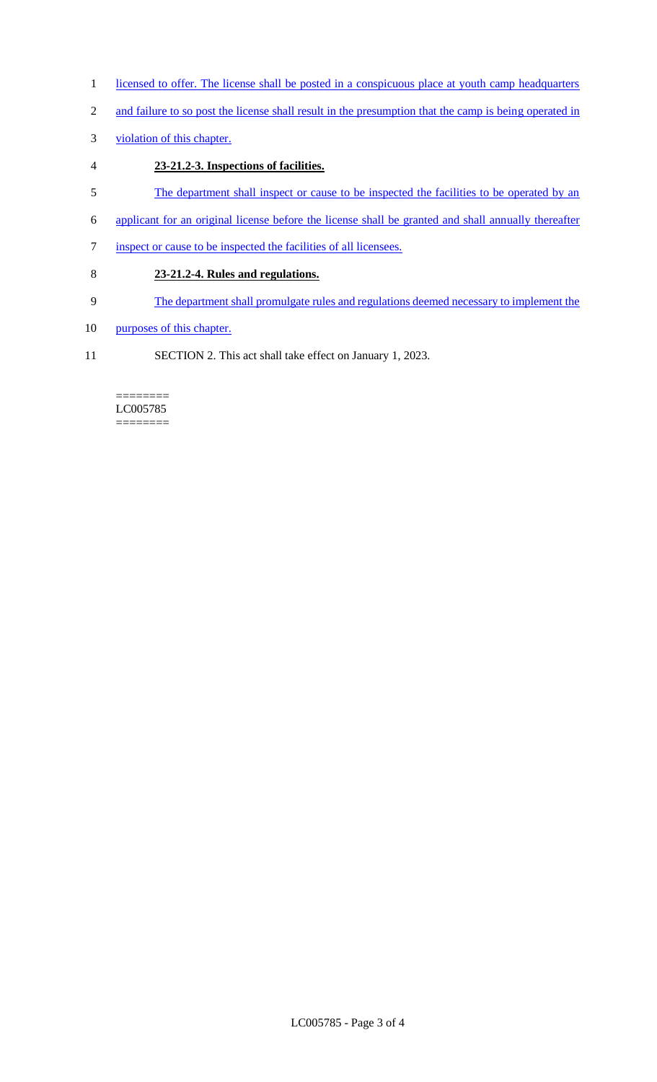- 1 licensed to offer. The license shall be posted in a conspicuous place at youth camp headquarters
- 2 and failure to so post the license shall result in the presumption that the camp is being operated in
- 3 violation of this chapter.
- 4 **23-21.2-3. Inspections of facilities.**
- 5 The department shall inspect or cause to be inspected the facilities to be operated by an
- 6 applicant for an original license before the license shall be granted and shall annually thereafter
- 7 inspect or cause to be inspected the facilities of all licensees.
- 8 **23-21.2-4. Rules and regulations.**
- 9 The department shall promulgate rules and regulations deemed necessary to implement the
- 10 purposes of this chapter.
- 11 SECTION 2. This act shall take effect on January 1, 2023.

======== LC005785 ========